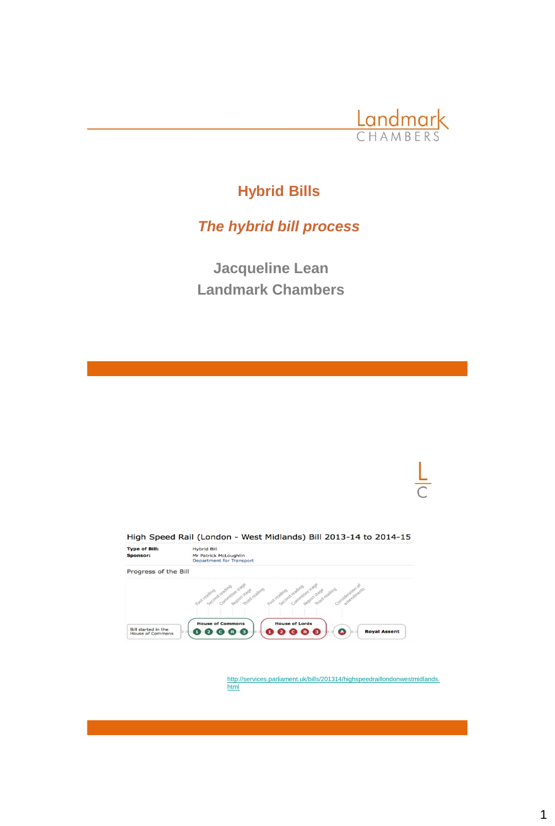

# **Hybrid Bills**

## *The hybrid bill process*

**Jacqueline Lean Landmark Chambers**



[http://services.parliament.uk/bills/201314/highspeedraillondonwestmidlands.](http://services.parliament.uk/bills/2013-14/highspeedraillondonwestmidlands.html) html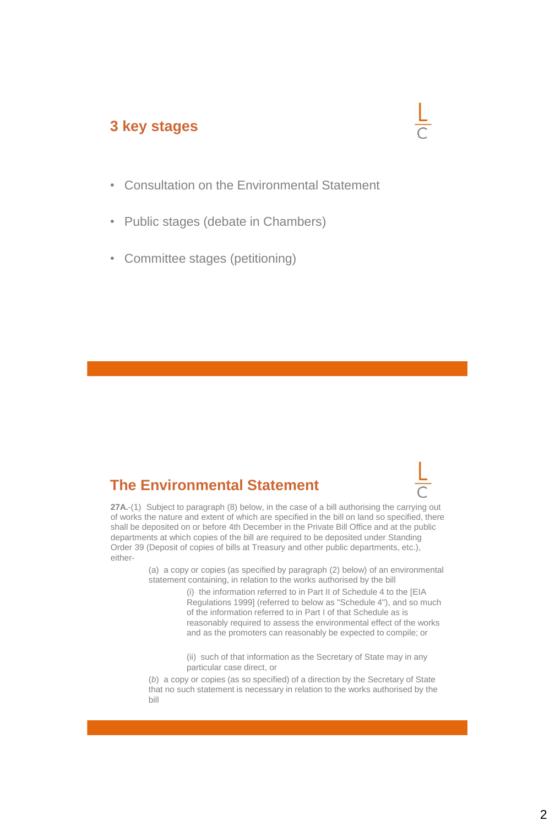### **3 key stages**



- Consultation on the Environmental Statement
- Public stages (debate in Chambers)
- Committee stages (petitioning)

## **The Environmental Statement**



**27A.**-(1) Subject to paragraph (8) below, in the case of a bill authorising the carrying out of works the nature and extent of which are specified in the bill on land so specified, there shall be deposited on or before 4th December in the Private Bill Office and at the public departments at which copies of the bill are required to be deposited under Standing Order 39 (Deposit of copies of bills at Treasury and other public departments, etc.), either-

> (a) a copy or copies (as specified by paragraph (2) below) of an environmental statement containing, in relation to the works authorised by the bill

> > (i) the information referred to in Part II of Schedule 4 to the [EIA Regulations 1999] (referred to below as "Schedule 4"), and so much of the information referred to in Part I of that Schedule as is reasonably required to assess the environmental effect of the works and as the promoters can reasonably be expected to compile; or

(ii) such of that information as the Secretary of State may in any particular case direct, or

(*b*) a copy or copies (as so specified) of a direction by the Secretary of State that no such statement is necessary in relation to the works authorised by the bill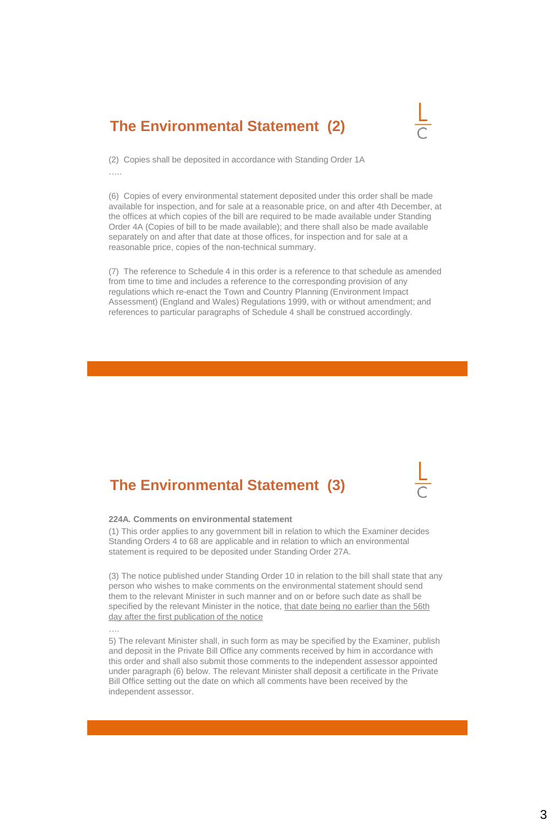## **The Environmental Statement (2)**



(2) Copies shall be deposited in accordance with Standing Order 1A …..

(6) Copies of every environmental statement deposited under this order shall be made available for inspection, and for sale at a reasonable price, on and after 4th December, at the offices at which copies of the bill are required to be made available under Standing Order 4A (Copies of bill to be made available); and there shall also be made available separately on and after that date at those offices, for inspection and for sale at a reasonable price, copies of the non-technical summary.

(7) The reference to Schedule 4 in this order is a reference to that schedule as amended from time to time and includes a reference to the corresponding provision of any regulations which re-enact the Town and Country Planning (Environment Impact Assessment) (England and Wales) Regulations 1999, with or without amendment; and references to particular paragraphs of Schedule 4 shall be construed accordingly.

## **The Environmental Statement (3)**

#### **224A. Comments on environmental statement**

….

(1) This order applies to any government bill in relation to which the Examiner decides Standing Orders 4 to 68 are applicable and in relation to which an environmental statement is required to be deposited under Standing Order 27A.

(3) The notice published under Standing Order 10 in relation to the bill shall state that any person who wishes to make comments on the environmental statement should send them to the relevant Minister in such manner and on or before such date as shall be specified by the relevant Minister in the notice, that date being no earlier than the 56th day after the first publication of the notice

5) The relevant Minister shall, in such form as may be specified by the Examiner, publish and deposit in the Private Bill Office any comments received by him in accordance with this order and shall also submit those comments to the independent assessor appointed under paragraph (6) below. The relevant Minister shall deposit a certificate in the Private Bill Office setting out the date on which all comments have been received by the independent assessor.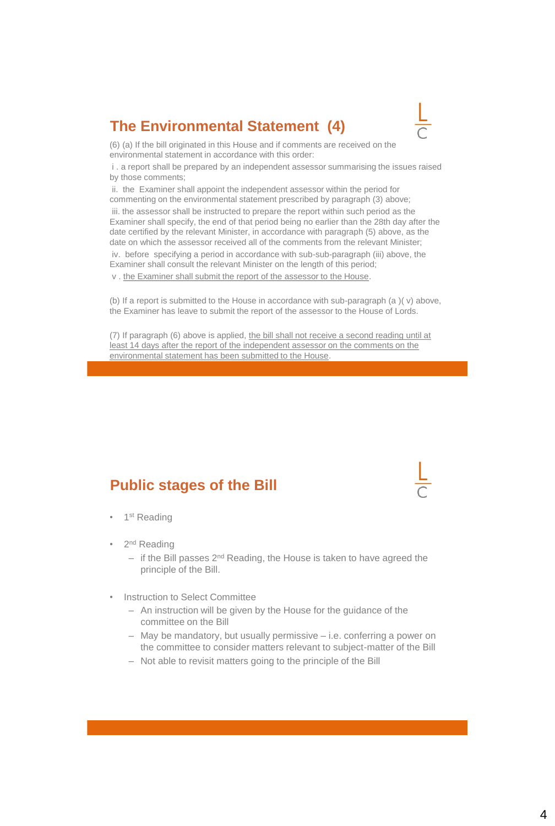## **The Environmental Statement (4)**



(6) (a) If the bill originated in this House and if comments are received on the environmental statement in accordance with this order:

i . a report shall be prepared by an independent assessor summarising the issues raised by those comments;

ii. the Examiner shall appoint the independent assessor within the period for commenting on the environmental statement prescribed by paragraph (3) above; iii. the assessor shall be instructed to prepare the report within such period as the Examiner shall specify, the end of that period being no earlier than the 28th day after the date certified by the relevant Minister, in accordance with paragraph (5) above, as the date on which the assessor received all of the comments from the relevant Minister;

iv. before specifying a period in accordance with sub-sub-paragraph (iii) above, the Examiner shall consult the relevant Minister on the length of this period;

v . the Examiner shall submit the report of the assessor to the House.

(b) If a report is submitted to the House in accordance with sub-paragraph (a )( v) above, the Examiner has leave to submit the report of the assessor to the House of Lords.

(7) If paragraph (6) above is applied, the bill shall not receive a second reading until at least 14 days after the report of the independent assessor on the comments on the environmental statement has been submitted to the House.

## **Public stages of the Bill**

- 1<sup>st</sup> Reading
- 2<sup>nd</sup> Reading
	- $-$  if the Bill passes  $2^{nd}$  Reading, the House is taken to have agreed the principle of the Bill.
- **Instruction to Select Committee** 
	- An instruction will be given by the House for the guidance of the committee on the Bill
	- May be mandatory, but usually permissive i.e. conferring a power on the committee to consider matters relevant to subject-matter of the Bill
	- Not able to revisit matters going to the principle of the Bill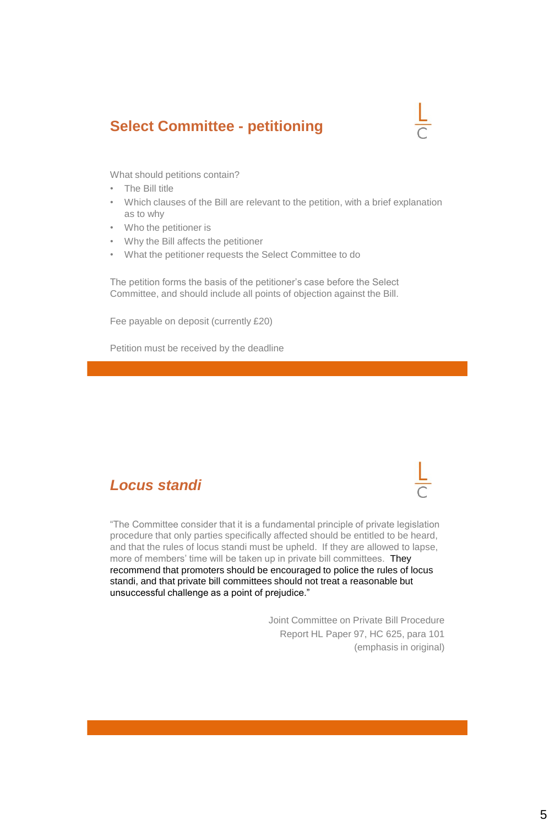## **Select Committee - petitioning**



What should petitions contain?

- The Bill title
- Which clauses of the Bill are relevant to the petition, with a brief explanation as to why
- Who the petitioner is
- Why the Bill affects the petitioner
- What the petitioner requests the Select Committee to do

The petition forms the basis of the petitioner's case before the Select Committee, and should include all points of objection against the Bill.

Fee payable on deposit (currently £20)

Petition must be received by the deadline

#### *Locus standi*

"The Committee consider that it is a fundamental principle of private legislation procedure that only parties specifically affected should be entitled to be heard, and that the rules of locus standi must be upheld. If they are allowed to lapse, more of members' time will be taken up in private bill committees. They recommend that promoters should be encouraged to police the rules of locus standi, and that private bill committees should not treat a reasonable but unsuccessful challenge as a point of prejudice."

> Joint Committee on Private Bill Procedure Report HL Paper 97, HC 625, para 101 (emphasis in original)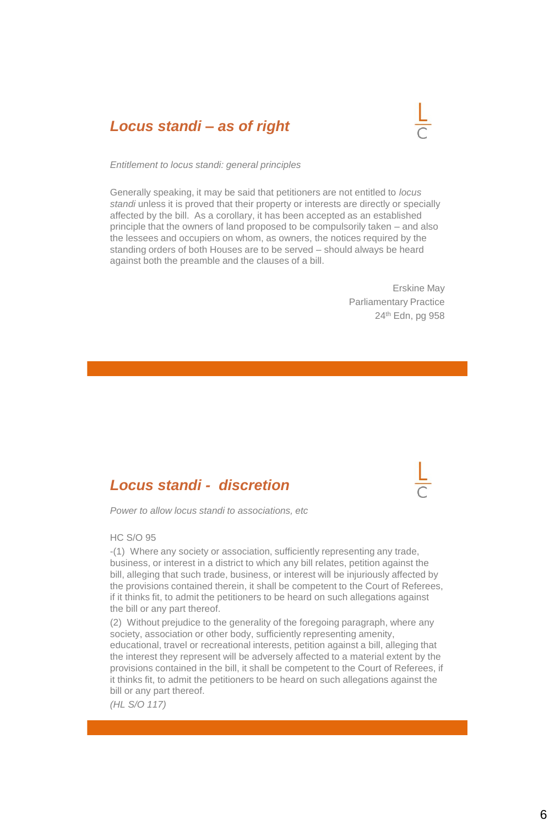## *Locus standi – as of right*



*Entitlement to locus standi: general principles*

Generally speaking, it may be said that petitioners are not entitled to *locus standi* unless it is proved that their property or interests are directly or specially affected by the bill. As a corollary, it has been accepted as an established principle that the owners of land proposed to be compulsorily taken – and also the lessees and occupiers on whom, as owners, the notices required by the standing orders of both Houses are to be served – should always be heard against both the preamble and the clauses of a bill.

> Erskine May Parliamentary Practice 24th Edn, pg 958

#### *Locus standi - discretion*

*Power to allow locus standi to associations, etc*

#### HC S/O 95

-(1) Where any society or association, sufficiently representing any trade, business, or interest in a district to which any bill relates, petition against the bill, alleging that such trade, business, or interest will be injuriously affected by the provisions contained therein, it shall be competent to the Court of Referees, if it thinks fit, to admit the petitioners to be heard on such allegations against the bill or any part thereof.

(2) Without prejudice to the generality of the foregoing paragraph, where any society, association or other body, sufficiently representing amenity, educational, travel or recreational interests, petition against a bill, alleging that the interest they represent will be adversely affected to a material extent by the provisions contained in the bill, it shall be competent to the Court of Referees, if it thinks fit, to admit the petitioners to be heard on such allegations against the bill or any part thereof.

*(HL S/O 117)*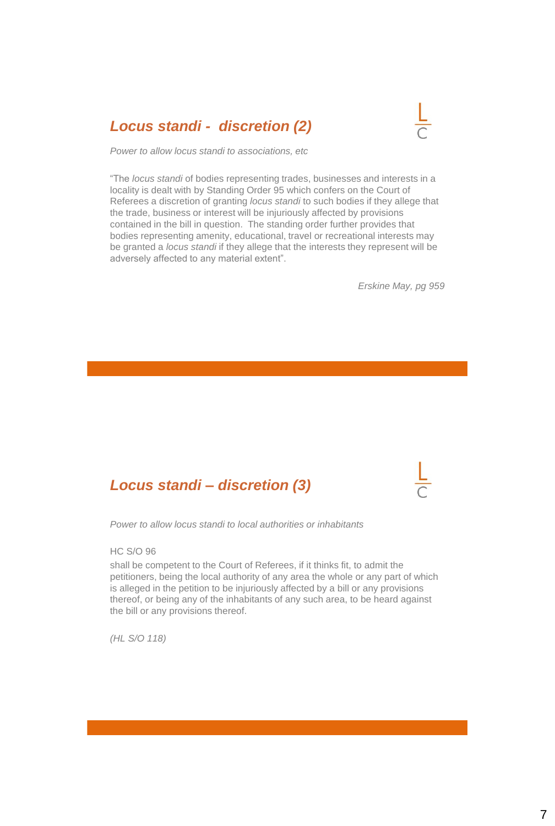## *Locus standi - discretion (2)*



*Power to allow locus standi to associations, etc*

"The *locus standi* of bodies representing trades, businesses and interests in a locality is dealt with by Standing Order 95 which confers on the Court of Referees a discretion of granting *locus standi* to such bodies if they allege that the trade, business or interest will be injuriously affected by provisions contained in the bill in question. The standing order further provides that bodies representing amenity, educational, travel or recreational interests may be granted a *locus standi* if they allege that the interests they represent will be adversely affected to any material extent".

*Erskine May, pg 959*

## *Locus standi – discretion (3)*

*Power to allow locus standi to local authorities or inhabitants*

HC S/O 96

shall be competent to the Court of Referees, if it thinks fit, to admit the petitioners, being the local authority of any area the whole or any part of which is alleged in the petition to be injuriously affected by a bill or any provisions thereof, or being any of the inhabitants of any such area, to be heard against the bill or any provisions thereof.

*(HL S/O 118)*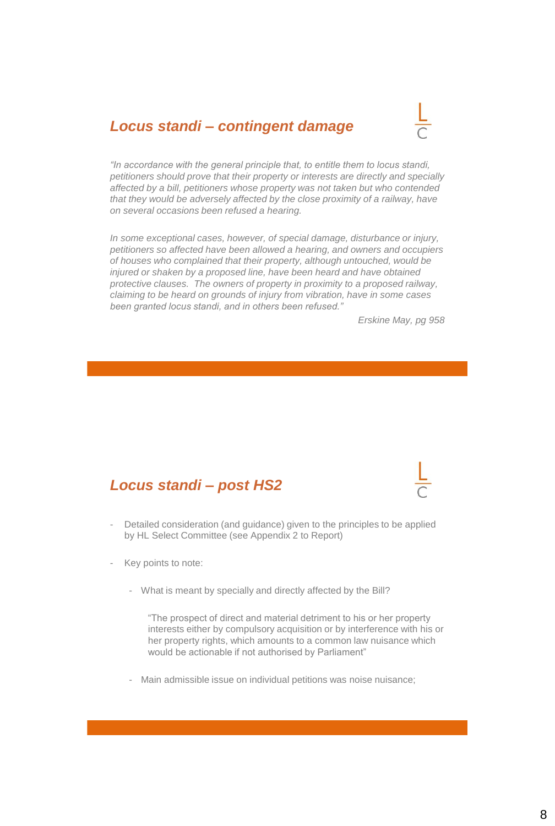## *Locus standi – contingent damage*



*"In accordance with the general principle that, to entitle them to locus standi, petitioners should prove that their property or interests are directly and specially affected by a bill, petitioners whose property was not taken but who contended that they would be adversely affected by the close proximity of a railway, have on several occasions been refused a hearing.*

*In some exceptional cases, however, of special damage, disturbance or injury, petitioners so affected have been allowed a hearing, and owners and occupiers of houses who complained that their property, although untouched, would be injured or shaken by a proposed line, have been heard and have obtained protective clauses. The owners of property in proximity to a proposed railway, claiming to be heard on grounds of injury from vibration, have in some cases been granted locus standi, and in others been refused."*

*Erskine May, pg 958*

#### *Locus standi – post HS2*

- Detailed consideration (and guidance) given to the principles to be applied by HL Select Committee (see Appendix 2 to Report)
- Key points to note:
	- What is meant by specially and directly affected by the Bill?

"The prospect of direct and material detriment to his or her property interests either by compulsory acquisition or by interference with his or her property rights, which amounts to a common law nuisance which would be actionable if not authorised by Parliament"

- Main admissible issue on individual petitions was noise nuisance;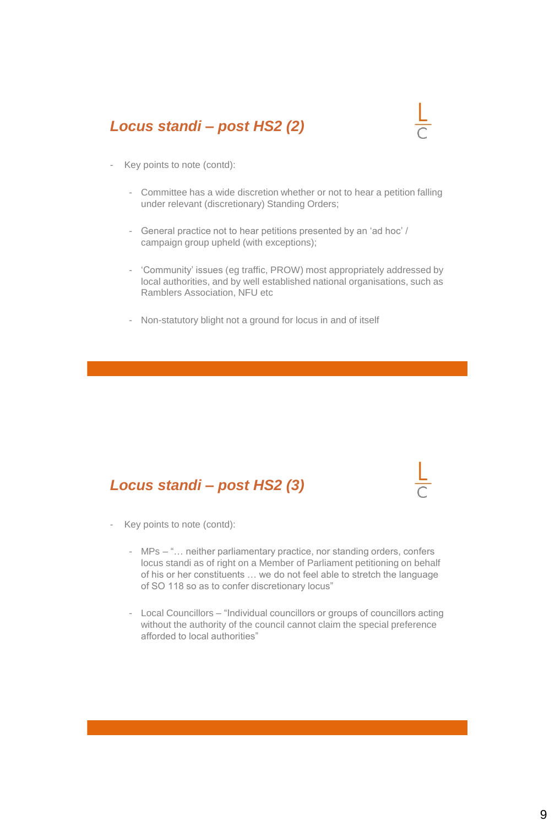## *Locus standi – post HS2 (2)*



- Key points to note (contd):
	- Committee has a wide discretion whether or not to hear a petition falling under relevant (discretionary) Standing Orders;
	- General practice not to hear petitions presented by an 'ad hoc' / campaign group upheld (with exceptions);
	- 'Community' issues (eg traffic, PROW) most appropriately addressed by local authorities, and by well established national organisations, such as Ramblers Association, NFU etc
	- Non-statutory blight not a ground for locus in and of itself

## *Locus standi – post HS2 (3)*

- Key points to note (contd):
	- MPs "… neither parliamentary practice, nor standing orders, confers locus standi as of right on a Member of Parliament petitioning on behalf of his or her constituents … we do not feel able to stretch the language of SO 118 so as to confer discretionary locus"
	- Local Councillors "Individual councillors or groups of councillors acting without the authority of the council cannot claim the special preference afforded to local authorities"